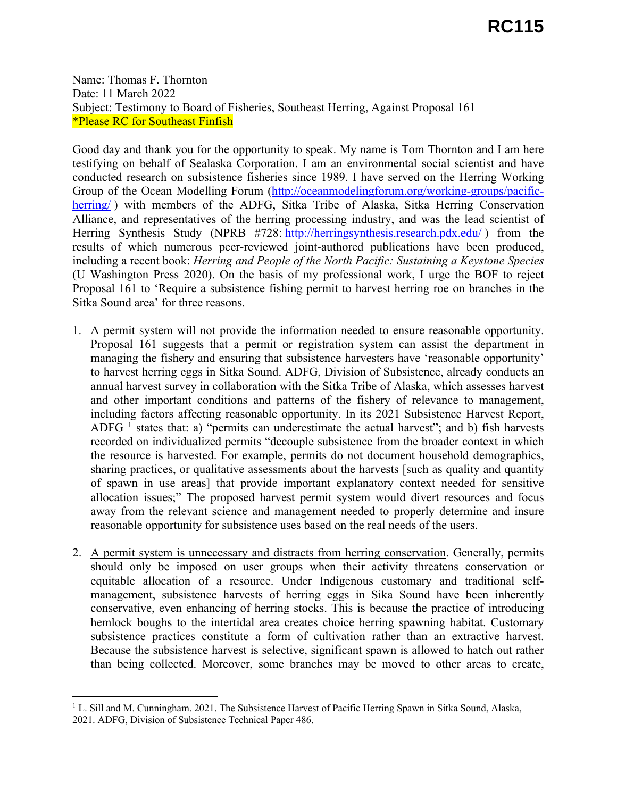Name: Thomas F. Thornton Date: 11 March 2022 Subject: Testimony to Board of Fisheries, Southeast Herring, Against Proposal 161 \*Please RC for Southeast Finfish

Good day and thank you for the opportunity to speak. My name is Tom Thornton and I am here testifying on behalf of Sealaska Corporation. I am an environmental social scientist and have conducted research on subsistence fisheries since 1989. I have served on the Herring Working Group of the Ocean Modelling Forum (<http://oceanmodelingforum.org/working-groups/pacific>herring/) with members of the ADFG, Sitka Tribe of Alaska, Sitka Herring Conservation Alliance, and representatives of the herring processing industry, and was the lead scientist of Herring Synthesis Study (NPRB #728: [http://herringsynthesis.research.pdx.edu/](http://herringsynthesis.research.pdx.edu)) from the results of which numerous peer-reviewed joint-authored publications have been produced, including a recent book: *Herring and People of the North Pacific: Sustaining a Keystone Species*  (U Washington Press 2020). On the basis of my professional work, I urge the BOF to reject Proposal 161 to 'Require a subsistence fishing permit to harvest herring roe on branches in the Sitka Sound area' for three reasons.

- ADFG  $<sup>1</sup>$  states that: a) "permits can underestimate the actual harvest"; and b) fish harvests</sup> 1. A permit system will not provide the information needed to ensure reasonable opportunity. Proposal 161 suggests that a permit or registration system can assist the department in managing the fishery and ensuring that subsistence harvesters have 'reasonable opportunity' to harvest herring eggs in Sitka Sound. ADFG, Division of Subsistence, already conducts an annual harvest survey in collaboration with the Sitka Tribe of Alaska, which assesses harvest and other important conditions and patterns of the fishery of relevance to management, including factors affecting reasonable opportunity. In its 2021 Subsistence Harvest Report, recorded on individualized permits "decouple subsistence from the broader context in which the resource is harvested. For example, permits do not document household demographics, sharing practices, or qualitative assessments about the harvests [such as quality and quantity of spawn in use areas] that provide important explanatory context needed for sensitive allocation issues;" The proposed harvest permit system would divert resources and focus away from the relevant science and management needed to properly determine and insure reasonable opportunity for subsistence uses based on the real needs of the users.
- 2. A permit system is unnecessary and distracts from herring conservation. Generally, permits should only be imposed on user groups when their activity threatens conservation or equitable allocation of a resource. Under Indigenous customary and traditional selfmanagement, subsistence harvests of herring eggs in Sika Sound have been inherently conservative, even enhancing of herring stocks. This is because the practice of introducing hemlock boughs to the intertidal area creates choice herring spawning habitat. Customary subsistence practices constitute a form of cultivation rather than an extractive harvest. Because the subsistence harvest is selective, significant spawn is allowed to hatch out rather than being collected. Moreover, some branches may be moved to other areas to create,

 $1^1$  L. Sill and M. Cunningham. 2021. The Subsistence Harvest of Pacific Herring Spawn in Sitka Sound, Alaska, 2021. ADFG, Division of Subsistence Technical Paper 486.